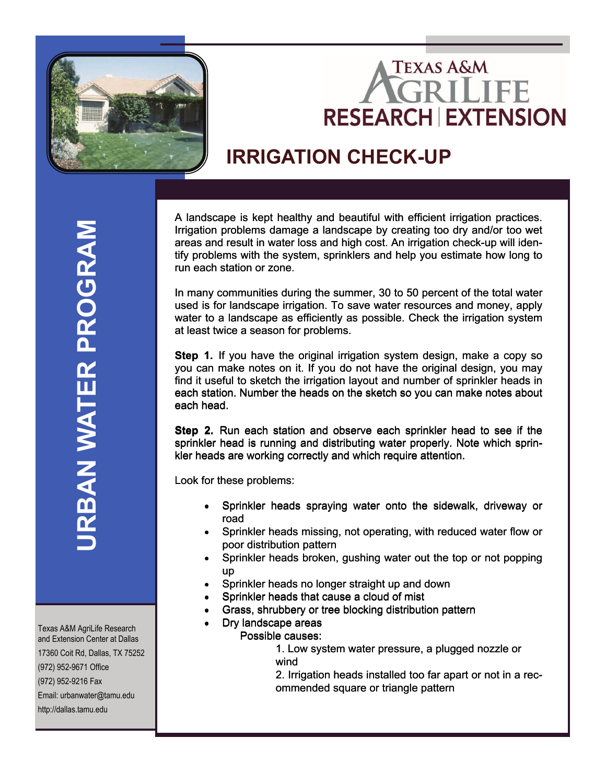

## **TEXAS A&M RESEARCH EXTENSION**

## **IRRIGATION CHECK-UP**

A landscape is kept healthy and beautiful with efficient irrigation practices.<br>Irrigation problems damage a landscape by creating too dry and/or too wet Irrigation problems damage a landscape by creating too dry and/or too wet areas and result in water loss and high cost. An irrigation check-up will idenareas and result in water loss and high cost. An irrigation check-up will iden-<br>tify problems with the system, sprinklers and help you estimate how long to run each station or zone.

In many communities during the summer, 30 to 50 percent of the total water used is for landscape irrigation. To save water resources and money, apply water to a landscape as efficiently as possible. Check the irrigation system at least twice a season for problems. run each station or zone.<br>In many communities during the summer, 30 to 50 percent of the total water<br>used is for landscape irrigation. To save water resources and money, apply<br>water to a landscape as efficiently as possibl

**Step 1.** If you have the original irrigation system design, make a copy so you can make notes on it. If you do not have the original design, you may you can make notes on it. If you do not have the original design, you may find it useful to sketch the irrigation layout and number of sprinkler heads in each station. Number the heads on the sketch so you can make notes about each head. each head.

**Step 2.** Run each station and observe each sprinkler head to see if the sprinkler head is running and distributing water properly. Note which sprin-sprinkler head is running and distributing water properly. Note which sprinkler heads are working correctly and which require attention.

kler heads are working co<br>Look for these problems:

- Sprinkler heads spraying water onto the sidewalk, driveway or road
- Sprinkler heads missing, not operating, with reduced water flow or poor distribution pattern
- Sprinkler heads broken, gushing water out the top or not popping Sprinkler heads broken, gushing water out the top or not popping up up
- Sprinkler heads no longer straight up and down
- Sprinkler heads that cause a cloud of mist
- Sprinkler heads that cause a cloud of mist<br>• Grass, shrubbery or tree blocking distribution pattern
- Dry landscape areas
- Possible causes:
- 1. Low system water pressure, a plugged nozzle or 1. Low system water pressure, a plugged nozzle or wind

 2. Irrigation heads installed too far apart or not in a rec ommended square or triangle pattern

Texas A&M AgriLife Research and Extension Center at Dallas 17360 Coit Rd, Dallas, TX 75252 (972) 952-9671 Office (972) 952-9216 Fax Email: urbanwater@tamu.edu http://dallas.tamu.edu